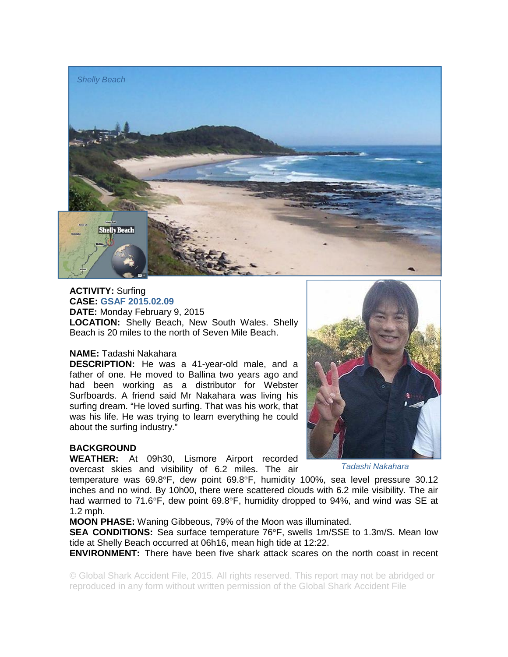

**ACTIVITY:** Surfing **CASE: GSAF 2015.02.09 DATE:** Monday February 9, 2015 **LOCATION:** Shelly Beach, New South Wales. Shelly Beach is 20 miles to the north of Seven Mile Beach.

## **NAME:** Tadashi Nakahara

**DESCRIPTION:** He was a 41-year-old male, and a father of one. He moved to Ballina two years ago and had been working as a distributor for Webster Surfboards. A friend said Mr Nakahara was living his surfing dream. "He loved surfing. That was his work, that was his life. He was trying to learn everything he could about the surfing industry."

## **BACKGROUND**

**WEATHER:** At 09h30, Lismore Airport recorded overcast skies and visibility of 6.2 miles. The air

*Tadashi Nakahara*

temperature was 69.8°F, dew point 69.8°F, humidity 100%, sea level pressure 30.12 inches and no wind. By 10h00, there were scattered clouds with 6.2 mile visibility. The air had warmed to 71.6°F, dew point 69.8°F, humidity dropped to 94%, and wind was SE at 1.2 mph.

**MOON PHASE:** Waning Gibbeous, 79% of the Moon was illuminated.

**SEA CONDITIONS:** Sea surface temperature 76°F, swells 1m/SSE to 1.3m/S. Mean low tide at Shelly Beach occurred at 06h16, mean high tide at 12:22.

**ENVIRONMENT:** There have been five shark attack scares on the north coast in recent

© Global Shark Accident File, 2015. All rights reserved. This report may not be abridged or reproduced in any form without written permission of the Global Shark Accident File